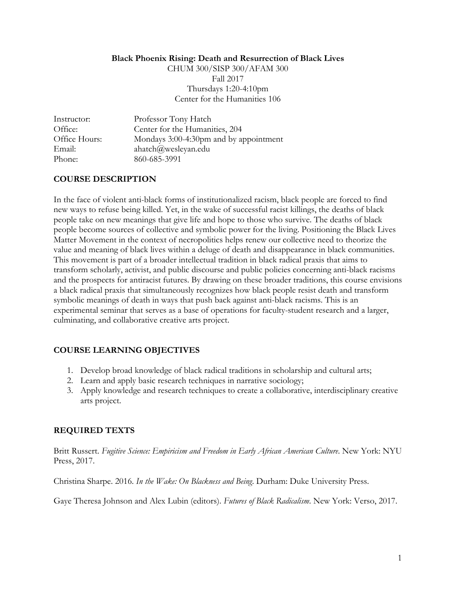#### **Black Phoenix Rising: Death and Resurrection of Black Lives**

CHUM 300/SISP 300/AFAM 300 Fall 2017 Thursdays 1:20-4:10pm Center for the Humanities 106

| Instructor:   | Professor Tony Hatch                   |
|---------------|----------------------------------------|
| Office:       | Center for the Humanities, 204         |
| Office Hours: | Mondays 3:00-4:30pm and by appointment |
| Email:        | ahatch@wesleyan.edu                    |
| Phone:        | 860-685-3991                           |

# **COURSE DESCRIPTION**

In the face of violent anti-black forms of institutionalized racism, black people are forced to find new ways to refuse being killed. Yet, in the wake of successful racist killings, the deaths of black people take on new meanings that give life and hope to those who survive. The deaths of black people become sources of collective and symbolic power for the living. Positioning the Black Lives Matter Movement in the context of necropolitics helps renew our collective need to theorize the value and meaning of black lives within a deluge of death and disappearance in black communities. This movement is part of a broader intellectual tradition in black radical praxis that aims to transform scholarly, activist, and public discourse and public policies concerning anti-black racisms and the prospects for antiracist futures. By drawing on these broader traditions, this course envisions a black radical praxis that simultaneously recognizes how black people resist death and transform symbolic meanings of death in ways that push back against anti-black racisms. This is an experimental seminar that serves as a base of operations for faculty-student research and a larger, culminating, and collaborative creative arts project.

# **COURSE LEARNING OBJECTIVES**

- 1. Develop broad knowledge of black radical traditions in scholarship and cultural arts;
- 2. Learn and apply basic research techniques in narrative sociology;
- 3. Apply knowledge and research techniques to create a collaborative, interdisciplinary creative arts project.

# **REQUIRED TEXTS**

Britt Russert. *Fugitive Science: Empiricism and Freedom in Early African American Culture*. New York: NYU Press, 2017.

Christina Sharpe. 2016. *In the Wake: On Blackness and Being*. Durham: Duke University Press.

Gaye Theresa Johnson and Alex Lubin (editors). *Futures of Black Radicalism*. New York: Verso, 2017.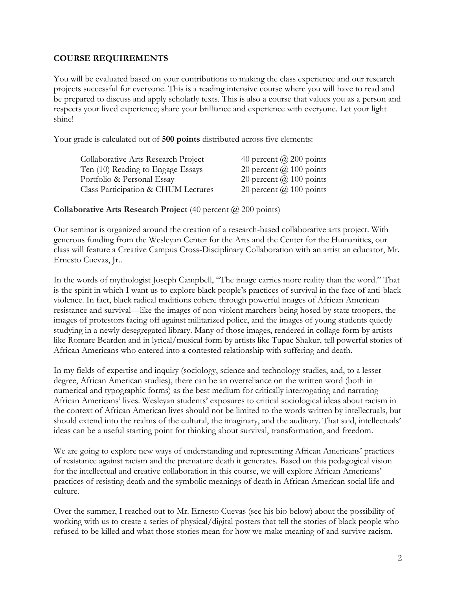## **COURSE REQUIREMENTS**

You will be evaluated based on your contributions to making the class experience and our research projects successful for everyone. This is a reading intensive course where you will have to read and be prepared to discuss and apply scholarly texts. This is also a course that values you as a person and respects your lived experience; share your brilliance and experience with everyone. Let your light shine!

Your grade is calculated out of **500 points** distributed across five elements:

| Collaborative Arts Research Project | 40 percent $\omega$ 200 points |
|-------------------------------------|--------------------------------|
| Ten (10) Reading to Engage Essays   | 20 percent $\omega$ 100 points |
| Portfolio & Personal Essay          | 20 percent $\omega$ 100 points |
| Class Participation & CHUM Lectures | 20 percent $\omega$ 100 points |

**Collaborative Arts Research Project** (40 percent @ 200 points)

Our seminar is organized around the creation of a research-based collaborative arts project. With generous funding from the Wesleyan Center for the Arts and the Center for the Humanities, our class will feature a Creative Campus Cross-Disciplinary Collaboration with an artist an educator, Mr. Ernesto Cuevas, Jr..

In the words of mythologist Joseph Campbell, "The image carries more reality than the word." That is the spirit in which I want us to explore black people's practices of survival in the face of anti-black violence. In fact, black radical traditions cohere through powerful images of African American resistance and survival—like the images of non-violent marchers being hosed by state troopers, the images of protestors facing off against militarized police, and the images of young students quietly studying in a newly desegregated library. Many of those images, rendered in collage form by artists like Romare Bearden and in lyrical/musical form by artists like Tupac Shakur, tell powerful stories of African Americans who entered into a contested relationship with suffering and death.

In my fields of expertise and inquiry (sociology, science and technology studies, and, to a lesser degree, African American studies), there can be an overreliance on the written word (both in numerical and typographic forms) as the best medium for critically interrogating and narrating African Americans' lives. Wesleyan students' exposures to critical sociological ideas about racism in the context of African American lives should not be limited to the words written by intellectuals, but should extend into the realms of the cultural, the imaginary, and the auditory. That said, intellectuals' ideas can be a useful starting point for thinking about survival, transformation, and freedom.

We are going to explore new ways of understanding and representing African Americans' practices of resistance against racism and the premature death it generates. Based on this pedagogical vision for the intellectual and creative collaboration in this course, we will explore African Americans' practices of resisting death and the symbolic meanings of death in African American social life and culture.

Over the summer, I reached out to Mr. Ernesto Cuevas (see his bio below) about the possibility of working with us to create a series of physical/digital posters that tell the stories of black people who refused to be killed and what those stories mean for how we make meaning of and survive racism.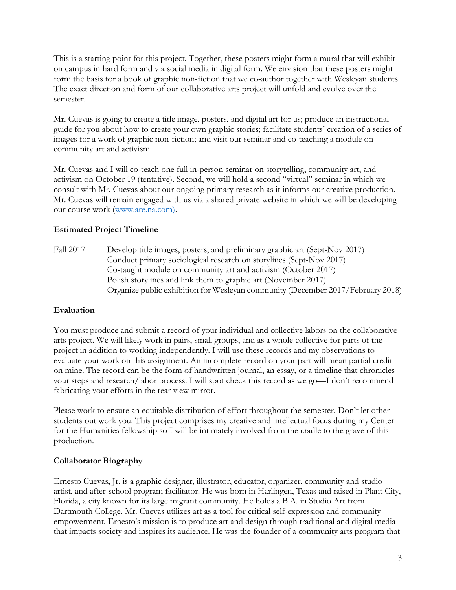This is a starting point for this project. Together, these posters might form a mural that will exhibit on campus in hard form and via social media in digital form. We envision that these posters might form the basis for a book of graphic non-fiction that we co-author together with Wesleyan students. The exact direction and form of our collaborative arts project will unfold and evolve over the semester.

Mr. Cuevas is going to create a title image, posters, and digital art for us; produce an instructional guide for you about how to create your own graphic stories; facilitate students' creation of a series of images for a work of graphic non-fiction; and visit our seminar and co-teaching a module on community art and activism.

Mr. Cuevas and I will co-teach one full in-person seminar on storytelling, community art, and activism on October 19 (tentative). Second, we will hold a second "virtual" seminar in which we consult with Mr. Cuevas about our ongoing primary research as it informs our creative production. Mr. Cuevas will remain engaged with us via a shared private website in which we will be developing our course work (www.are.na.com).

# **Estimated Project Timeline**

Fall 2017 Develop title images, posters, and preliminary graphic art (Sept-Nov 2017) Conduct primary sociological research on storylines (Sept-Nov 2017) Co-taught module on community art and activism (October 2017) Polish storylines and link them to graphic art (November 2017) Organize public exhibition for Wesleyan community (December 2017/February 2018)

# **Evaluation**

You must produce and submit a record of your individual and collective labors on the collaborative arts project. We will likely work in pairs, small groups, and as a whole collective for parts of the project in addition to working independently. I will use these records and my observations to evaluate your work on this assignment. An incomplete record on your part will mean partial credit on mine. The record can be the form of handwritten journal, an essay, or a timeline that chronicles your steps and research/labor process. I will spot check this record as we go—I don't recommend fabricating your efforts in the rear view mirror.

Please work to ensure an equitable distribution of effort throughout the semester. Don't let other students out work you. This project comprises my creative and intellectual focus during my Center for the Humanities fellowship so I will be intimately involved from the cradle to the grave of this production.

# **Collaborator Biography**

Ernesto Cuevas, Jr. is a graphic designer, illustrator, educator, organizer, community and studio artist, and after-school program facilitator. He was born in Harlingen, Texas and raised in Plant City, Florida, a city known for its large migrant community. He holds a B.A. in Studio Art from Dartmouth College. Mr. Cuevas utilizes art as a tool for critical self-expression and community empowerment. Ernesto's mission is to produce art and design through traditional and digital media that impacts society and inspires its audience. He was the founder of a community arts program that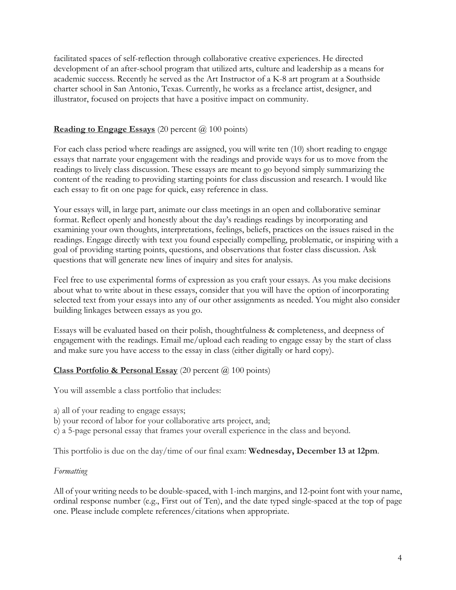facilitated spaces of self-reflection through collaborative creative experiences. He directed development of an after-school program that utilized arts, culture and leadership as a means for academic success. Recently he served as the Art Instructor of a K-8 art program at a Southside charter school in San Antonio, Texas. Currently, he works as a freelance artist, designer, and illustrator, focused on projects that have a positive impact on community.

# **Reading to Engage Essays** (20 percent @ 100 points)

For each class period where readings are assigned, you will write ten (10) short reading to engage essays that narrate your engagement with the readings and provide ways for us to move from the readings to lively class discussion. These essays are meant to go beyond simply summarizing the content of the reading to providing starting points for class discussion and research. I would like each essay to fit on one page for quick, easy reference in class.

Your essays will, in large part, animate our class meetings in an open and collaborative seminar format. Reflect openly and honestly about the day's readings readings by incorporating and examining your own thoughts, interpretations, feelings, beliefs, practices on the issues raised in the readings. Engage directly with text you found especially compelling, problematic, or inspiring with a goal of providing starting points, questions, and observations that foster class discussion. Ask questions that will generate new lines of inquiry and sites for analysis.

Feel free to use experimental forms of expression as you craft your essays. As you make decisions about what to write about in these essays, consider that you will have the option of incorporating selected text from your essays into any of our other assignments as needed. You might also consider building linkages between essays as you go.

Essays will be evaluated based on their polish, thoughtfulness & completeness, and deepness of engagement with the readings. Email me/upload each reading to engage essay by the start of class and make sure you have access to the essay in class (either digitally or hard copy).

## **Class Portfolio & Personal Essay** (20 percent @ 100 points)

You will assemble a class portfolio that includes:

- a) all of your reading to engage essays;
- b) your record of labor for your collaborative arts project, and;
- c) a 5-page personal essay that frames your overall experience in the class and beyond.

This portfolio is due on the day/time of our final exam: **Wednesday, December 13 at 12pm**.

#### *Formatting*

All of your writing needs to be double-spaced, with 1-inch margins, and 12-point font with your name, ordinal response number (e.g., First out of Ten), and the date typed single-spaced at the top of page one. Please include complete references/citations when appropriate.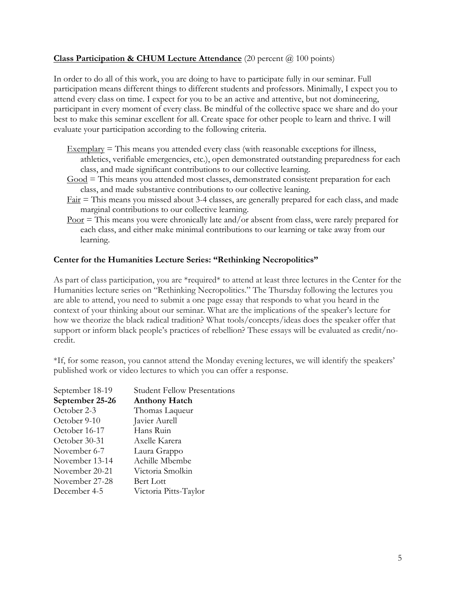# **Class Participation & CHUM Lecture Attendance** (20 percent @ 100 points)

In order to do all of this work, you are doing to have to participate fully in our seminar. Full participation means different things to different students and professors. Minimally, I expect you to attend every class on time. I expect for you to be an active and attentive, but not domineering, participant in every moment of every class. Be mindful of the collective space we share and do your best to make this seminar excellent for all. Create space for other people to learn and thrive. I will evaluate your participation according to the following criteria.

- $Exemplary$  = This means you attended every class (with reasonable exceptions for illness, athletics, verifiable emergencies, etc.), open demonstrated outstanding preparedness for each class, and made significant contributions to our collective learning.
- $Good$  = This means you attended most classes, demonstrated consistent preparation for each class, and made substantive contributions to our collective leaning.
- $Fair$  = This means you missed about 3-4 classes, are generally prepared for each class, and made</u> marginal contributions to our collective learning.
- Poor = This means you were chronically late and/or absent from class, were rarely prepared for each class, and either make minimal contributions to our learning or take away from our learning.

# **Center for the Humanities Lecture Series: "Rethinking Necropolitics"**

As part of class participation, you are \*required\* to attend at least three lectures in the Center for the Humanities lecture series on "Rethinking Necropolitics." The Thursday following the lectures you are able to attend, you need to submit a one page essay that responds to what you heard in the context of your thinking about our seminar. What are the implications of the speaker's lecture for how we theorize the black radical tradition? What tools/concepts/ideas does the speaker offer that support or inform black people's practices of rebellion? These essays will be evaluated as credit/nocredit.

\*If, for some reason, you cannot attend the Monday evening lectures, we will identify the speakers' published work or video lectures to which you can offer a response.

| September 18-19 | <b>Student Fellow Presentations</b> |
|-----------------|-------------------------------------|
| September 25-26 | <b>Anthony Hatch</b>                |
| October 2-3     | Thomas Laqueur                      |
| October 9-10    | Javier Aurell                       |
| October 16-17   | Hans Ruin                           |
| October 30-31   | Axelle Karera                       |
| November 6-7    | Laura Grappo                        |
| November 13-14  | Achille Mbembe                      |
| November 20-21  | Victoria Smolkin                    |
| November 27-28  | Bert Lott                           |
| December 4-5    | Victoria Pitts-Taylor               |
|                 |                                     |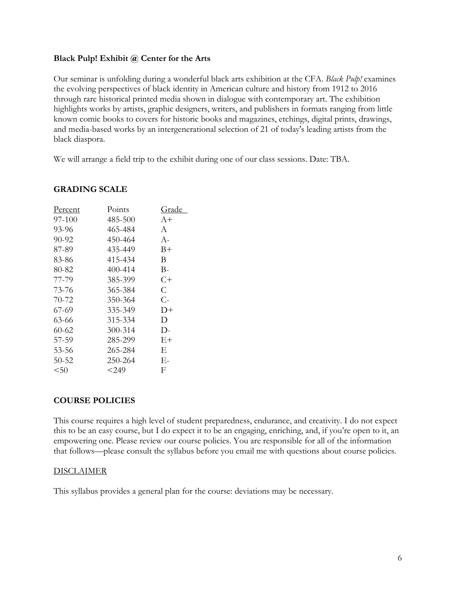#### **Black Pulp! Exhibit @ Center for the Arts**

Our seminar is unfolding during a wonderful black arts exhibition at the CFA. *Black Pulp!* examines the evolving perspectives of black identity in American culture and history from 1912 to 2016 through rare historical printed media shown in dialogue with contemporary art. The exhibition highlights works by artists, graphic designers, writers, and publishers in formats ranging from little known comic books to covers for historic books and magazines, etchings, digital prints, drawings, and media-based works by an intergenerational selection of 21 of today's leading artists from the black diaspora.

We will arrange a field trip to the exhibit during one of our class sessions. Date: TBA.

| Percent | Points  | Grade |
|---------|---------|-------|
| 97-100  | 485-500 | $A+$  |
| 93-96   | 465-484 | A     |
| 90-92   | 450-464 | $A-$  |
| 87-89   | 435-449 | $B+$  |
| 83-86   | 415-434 | B     |
| 80-82   | 400-414 | B-    |
| 77-79   | 385-399 | $C+$  |
| 73-76   | 365-384 | C     |
| 70-72   | 350-364 | C-    |
| 67-69   | 335-349 | D+    |
| 63-66   | 315-334 | D     |
| 60-62   | 300-314 | $D-$  |
| 57-59   | 285-299 | E+    |
| 53-56   | 265-284 | E     |
| 50-52   | 250-264 | Е-    |
| $50$    | $249$   | F     |

#### **GRADING SCALE**

## **COURSE POLICIES**

This course requires a high level of student preparedness, endurance, and creativity. I do not expect this to be an easy course, but I do expect it to be an engaging, enriching, and, if you're open to it, an empowering one. Please review our course policies. You are responsible for all of the information that follows—please consult the syllabus before you email me with questions about course policies.

## DISCLAIMER

This syllabus provides a general plan for the course: deviations may be necessary.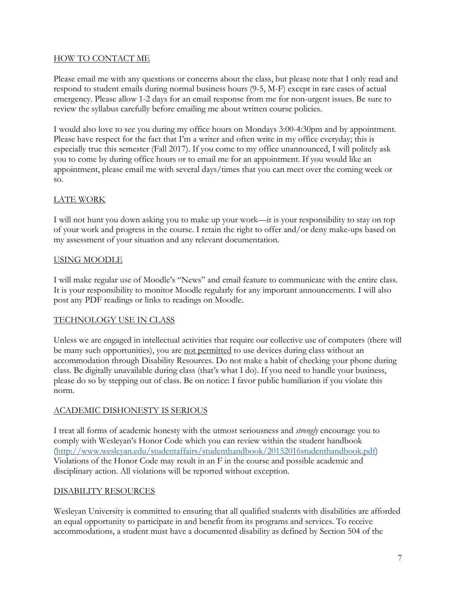# HOW TO CONTACT ME

Please email me with any questions or concerns about the class, but please note that I only read and respond to student emails during normal business hours (9-5, M-F) except in rare cases of actual emergency. Please allow 1-2 days for an email response from me for non-urgent issues. Be sure to review the syllabus carefully before emailing me about written course policies.

I would also love to see you during my office hours on Mondays 3:00-4:30pm and by appointment. Please have respect for the fact that I'm a writer and often write in my office everyday; this is especially true this semester (Fall 2017). If you come to my office unannounced, I will politely ask you to come by during office hours or to email me for an appointment. If you would like an appointment, please email me with several days/times that you can meet over the coming week or so.

# LATE WORK

I will not hunt you down asking you to make up your work—it is your responsibility to stay on top of your work and progress in the course. I retain the right to offer and/or deny make-ups based on my assessment of your situation and any relevant documentation.

## USING MOODLE

I will make regular use of Moodle's "News" and email feature to communicate with the entire class. It is your responsibility to monitor Moodle regularly for any important announcements. I will also post any PDF readings or links to readings on Moodle.

## TECHNOLOGY USE IN CLASS

Unless we are engaged in intellectual activities that require our collective use of computers (there will be many such opportunities), you are not permitted to use devices during class without an accommodation through Disability Resources. Do not make a habit of checking your phone during class. Be digitally unavailable during class (that's what I do). If you need to handle your business, please do so by stepping out of class. Be on notice: I favor public humiliation if you violate this norm.

## ACADEMIC DISHONESTY IS SERIOUS

I treat all forms of academic honesty with the utmost seriousness and *strongly* encourage you to comply with Wesleyan's Honor Code which you can review within the student handbook (http://www.wesleyan.edu/studentaffairs/studenthandbook/20152016studenthandbook.pdf) Violations of the Honor Code may result in an F in the course and possible academic and disciplinary action. All violations will be reported without exception.

# DISABILITY RESOURCES

Wesleyan University is committed to ensuring that all qualified students with disabilities are afforded an equal opportunity to participate in and benefit from its programs and services. To receive accommodations, a student must have a documented disability as defined by Section 504 of the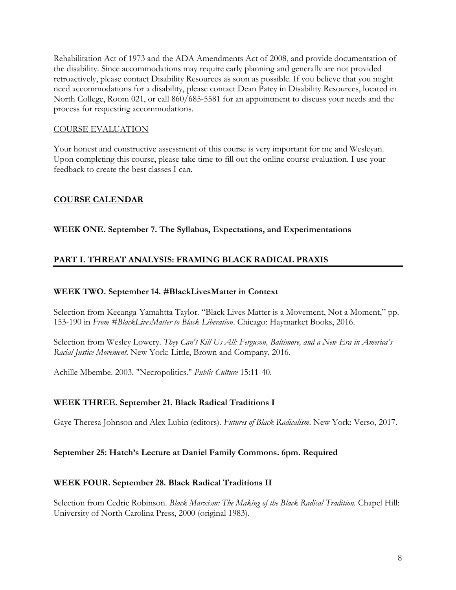Rehabilitation Act of 1973 and the ADA Amendments Act of 2008, and provide documentation of the disability. Since accommodations may require early planning and generally are not provided retroactively, please contact Disability Resources as soon as possible. If you believe that you might need accommodations for a disability, please contact Dean Patey in Disability Resources, located in North College, Room 021, or call 860/685-5581 for an appointment to discuss your needs and the process for requesting accommodations.

# COURSE EVALUATION

Your honest and constructive assessment of this course is very important for me and Wesleyan. Upon completing this course, please take time to fill out the online course evaluation. I use your feedback to create the best classes I can.

# **COURSE CALENDAR**

# **WEEK ONE. September 7. The Syllabus, Expectations, and Experimentations**

# **PART I. THREAT ANALYSIS: FRAMING BLACK RADICAL PRAXIS**

## **WEEK TWO. September 14. #BlackLivesMatter in Context**

Selection from Keeanga-Yamahtta Taylor. "Black Lives Matter is a Movement, Not a Moment," pp. 153-190 in *From #BlackLivesMatter to Black Liberation*. Chicago: Haymarket Books, 2016.

Selection from Wesley Lowery. *They Can't Kill Us All: Ferguson, Baltimore, and a New Era in America's Racial Justice Movement*. New York: Little, Brown and Company, 2016.

Achille Mbembe. 2003. "Necropolitics." *Public Culture* 15:11-40.

## **WEEK THREE. September 21. Black Radical Traditions I**

Gaye Theresa Johnson and Alex Lubin (editors). *Futures of Black Radicalism*. New York: Verso, 2017.

## **September 25: Hatch's Lecture at Daniel Family Commons. 6pm. Required**

## **WEEK FOUR. September 28. Black Radical Traditions II**

Selection from Cedric Robinson. *Black Marxism: The Making of the Black Radical Tradition*. Chapel Hill: University of North Carolina Press, 2000 (original 1983).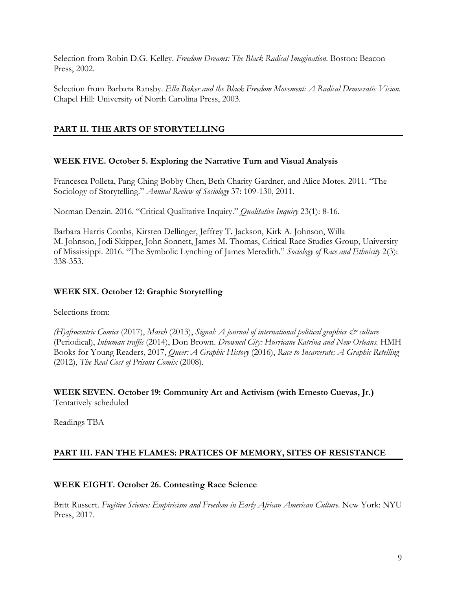Selection from Robin D.G. Kelley. *Freedom Dreams: The Black Radical Imagination.* Boston: Beacon Press, 2002.

Selection from Barbara Ransby. *Ella Baker and the Black Freedom Movement: A Radical Democratic Vision*. Chapel Hill: University of North Carolina Press, 2003.

# **PART II. THE ARTS OF STORYTELLING**

# **WEEK FIVE. October 5. Exploring the Narrative Turn and Visual Analysis**

Francesca Polleta, Pang Ching Bobby Chen, Beth Charity Gardner, and Alice Motes. 2011. "The Sociology of Storytelling." *Annual Review of Sociology* 37: 109-130, 2011.

Norman Denzin. 2016. "Critical Qualitative Inquiry." *Qualitative Inquiry* 23(1): 8-16.

Barbara Harris Combs, Kirsten Dellinger, Jeffrey T. Jackson, Kirk A. Johnson, Willa M. Johnson, Jodi Skipper, John Sonnett, James M. Thomas, Critical Race Studies Group, University of Mississippi. 2016. "The Symbolic Lynching of James Meredith." *Sociology of Race and Ethnicity* 2(3): 338-353.

## **WEEK SIX. October 12: Graphic Storytelling**

Selections from:

*(H)afrocentric Comics* (2017), *March* (2013), *Signal: A journal of international political graphics & culture* (Periodical), *Inhuman traffic* (2014), Don Brown. *Drowned City: Hurricane Katrina and New Orleans.* HMH Books for Young Readers, 2017, *Queer: A Graphic History* (2016), *Race to Incarcerate: A Graphic Retelling* (2012), *The Real Cost of Prisons Comix* (2008).

**WEEK SEVEN. October 19: Community Art and Activism (with Ernesto Cuevas, Jr.)** Tentatively scheduled

Readings TBA

# **PART III. FAN THE FLAMES: PRATICES OF MEMORY, SITES OF RESISTANCE**

## **WEEK EIGHT. October 26. Contesting Race Science**

Britt Russert. *Fugitive Science: Empiricism and Freedom in Early African American Culture*. New York: NYU Press, 2017.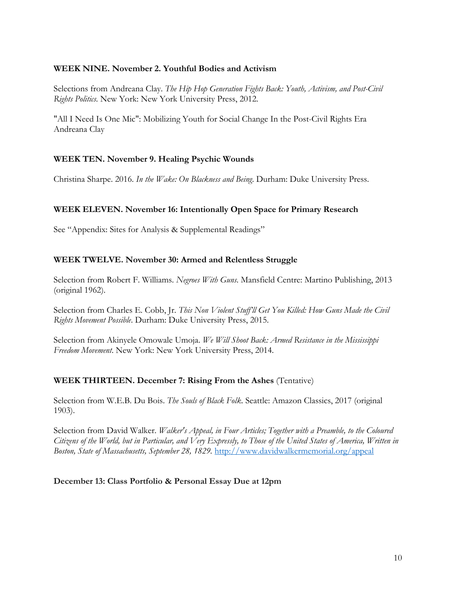## **WEEK NINE. November 2. Youthful Bodies and Activism**

Selections from Andreana Clay. *The Hip Hop Generation Fights Back: Youth, Activism, and Post-Civil Rights Politics.* New York: New York University Press, 2012.

"All I Need Is One Mic": Mobilizing Youth for Social Change In the Post-Civil Rights Era Andreana Clay

# **WEEK TEN. November 9. Healing Psychic Wounds**

Christina Sharpe. 2016. *In the Wake: On Blackness and Being*. Durham: Duke University Press.

# **WEEK ELEVEN. November 16: Intentionally Open Space for Primary Research**

See "Appendix: Sites for Analysis & Supplemental Readings"

# **WEEK TWELVE. November 30: Armed and Relentless Struggle**

Selection from Robert F. Williams. *Negroes With Guns*. Mansfield Centre: Martino Publishing, 2013 (original 1962).

Selection from Charles E. Cobb, Jr. *This Non Violent Stuff'll Get You Killed: How Guns Made the Civil Rights Movement Possible*. Durham: Duke University Press, 2015.

Selection from Akinyele Omowale Umoja. *We Will Shoot Back: Armed Resistance in the Mississippi Freedom Movement*. New York: New York University Press, 2014.

## **WEEK THIRTEEN. December 7: Rising From the Ashes** (Tentative)

Selection from W.E.B. Du Bois. *The Souls of Black Folk*. Seattle: Amazon Classics, 2017 (original 1903).

Selection from David Walker. *Walker's Appeal, in Four Articles; Together with a Preamble, to the Coloured Citizens of the World, but in Particular, and Very Expressly, to Those of the United States of America, Written in Boston, State of Massachusetts, September 28, 1829.* http://www.davidwalkermemorial.org/appeal

## **December 13: Class Portfolio & Personal Essay Due at 12pm**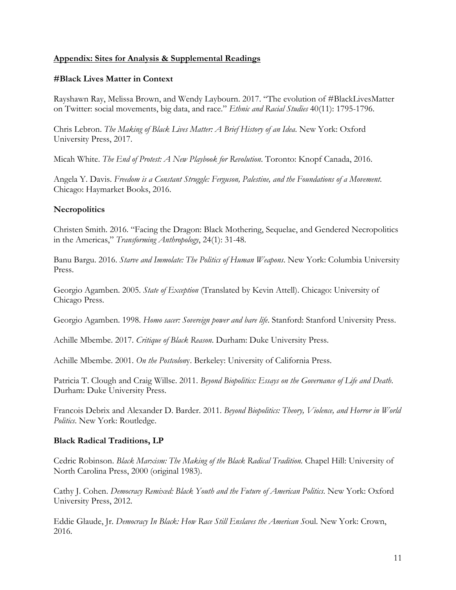## **Appendix: Sites for Analysis & Supplemental Readings**

#### **#Black Lives Matter in Context**

Rayshawn Ray, Melissa Brown, and Wendy Laybourn. 2017. "The evolution of #BlackLivesMatter on Twitter: social movements, big data, and race." *Ethnic and Racial Studies* 40(11): 1795-1796.

Chris Lebron. *The Making of Black Lives Matter: A Brief History of an Idea*. New York: Oxford University Press, 2017.

Micah White. *The End of Protest: A New Playbook for Revolution*. Toronto: Knopf Canada, 2016.

Angela Y. Davis. *Freedom is a Constant Struggle: Ferguson, Palestine, and the Foundations of a Movement*. Chicago: Haymarket Books, 2016.

#### **Necropolitics**

Christen Smith. 2016. "Facing the Dragon: Black Mothering, Sequelae, and Gendered Necropolitics in the Americas," *Transforming Anthropology*, 24(1): 31-48.

Banu Bargu. 2016. *Starve and Immolate: The Politics of Human Weapons*. New York: Columbia University Press.

Georgio Agamben. 2005. *State of Exception* (Translated by Kevin Attell). Chicago: University of Chicago Press.

Georgio Agamben. 1998. *Homo sacer: Sovereign power and bare life*. Stanford: Stanford University Press.

Achille Mbembe. 2017. *Critique of Black Reason*. Durham: Duke University Press.

Achille Mbembe. 2001. *On the Postcolon*y. Berkeley: University of California Press.

Patricia T. Clough and Craig Willse. 2011. *Beyond Biopolitics: Essays on the Governance of Life and Death*. Durham: Duke University Press.

Francois Debrix and Alexander D. Barder. 2011. *Beyond Biopolitics: Theory, Violence, and Horror in World Politics*. New York: Routledge.

#### **Black Radical Traditions, LP**

Cedric Robinson. *Black Marxism: The Making of the Black Radical Tradition.* Chapel Hill: University of North Carolina Press, 2000 (original 1983).

Cathy J. Cohen. *Democracy Remixed: Black Youth and the Future of American Politics*. New York: Oxford University Press, 2012.

Eddie Glaude, Jr. *Democracy In Black: How Race Still Enslaves the American S*oul. New York: Crown, 2016.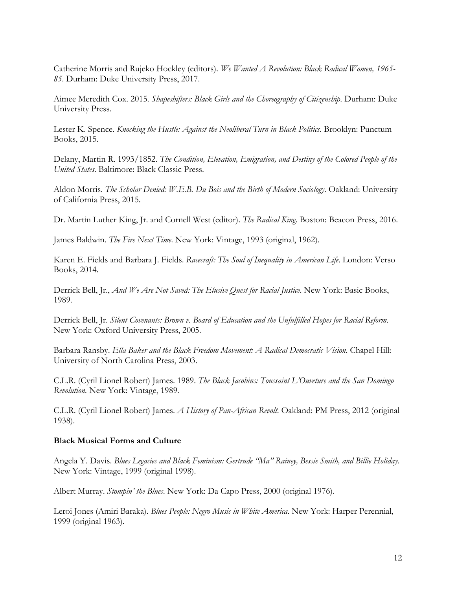Catherine Morris and Rujeko Hockley (editors). *We Wanted A Revolution: Black Radical Women, 1965- 85*. Durham: Duke University Press, 2017.

Aimee Meredith Cox. 2015. *Shapeshifters: Black Girls and the Choreography of Citizenship*. Durham: Duke University Press.

Lester K. Spence. *Knocking the Hustle: Against the Neoliberal Turn in Black Politics*. Brooklyn: Punctum Books, 2015.

Delany, Martin R. 1993/1852. *The Condition, Elevation, Emigration, and Destiny of the Colored People of the United States*. Baltimore: Black Classic Press.

Aldon Morris. *The Scholar Denied: W.E.B. Du Bois and the Birth of Modern Sociology*. Oakland: University of California Press, 2015.

Dr. Martin Luther King, Jr. and Cornell West (editor). *The Radical King*. Boston: Beacon Press, 2016.

James Baldwin. *The Fire Next Time*. New York: Vintage, 1993 (original, 1962).

Karen E. Fields and Barbara J. Fields. *Racecraft: The Soul of Inequality in American Life*. London: Verso Books, 2014.

Derrick Bell, Jr., *And We Are Not Saved: The Elusive Quest for Racial Justice*. New York: Basic Books, 1989.

Derrick Bell, Jr. *Silent Covenants: Brown v. Board of Education and the Unfulfilled Hopes for Racial Reform*. New York: Oxford University Press, 2005.

Barbara Ransby. *Ella Baker and the Black Freedom Movement: A Radical Democratic Vision*. Chapel Hill: University of North Carolina Press, 2003.

C.L.R. (Cyril Lionel Robert) James. 1989. *The Black Jacobins: Toussaint L'Ouveture and the San Domingo Revolution.* New York: Vintage, 1989.

C.L.R. (Cyril Lionel Robert) James. *A History of Pan-African Revolt*. Oakland: PM Press, 2012 (original 1938).

#### **Black Musical Forms and Culture**

Angela Y. Davis. *Blues Legacies and Black Feminism: Gertrude "Ma" Rainey, Bessie Smith, and Billie Holiday*. New York: Vintage, 1999 (original 1998).

Albert Murray. *Stompin' the Blues*. New York: Da Capo Press, 2000 (original 1976).

Leroi Jones (Amiri Baraka). *Blues People: Negro Music in White America*. New York: Harper Perennial, 1999 (original 1963).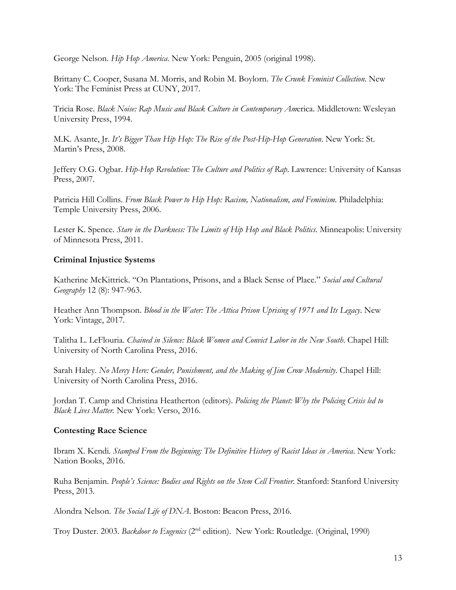George Nelson. *Hip Hop America*. New York: Penguin, 2005 (original 1998).

Brittany C. Cooper, Susana M. Morris, and Robin M. Boylorn. *The Crunk Feminist Collection*. New York: The Feminist Press at CUNY, 2017.

Tricia Rose. *Black Noise: Rap Music and Black Culture in Contemporary Am*erica. Middletown: Wesleyan University Press, 1994.

M.K. Asante, Jr. *It's Bigger Than Hip Hop: The Rise of the Post-Hip-Hop Generation*. New York: St. Martin's Press, 2008.

Jeffery O.G. Ogbar. *Hip-Hop Revolution: The Culture and Politics of Rap*. Lawrence: University of Kansas Press, 2007.

Patricia Hill Collins. *From Black Power to Hip Hop: Racism, Nationalism, and Feminism*. Philadelphia: Temple University Press, 2006.

Lester K. Spence. *Stare in the Darkness: The Limits of Hip Hop and Black Politics*. Minneapolis: University of Minnesota Press, 2011.

# **Criminal Injustice Systems**

Katherine McKittrick. "On Plantations, Prisons, and a Black Sense of Place." *Social and Cultural Geography* 12 (8): 947-963.

Heather Ann Thompson. *Blood in the Water: The Attica Prison Uprising of 1971 and Its Legacy*. New York: Vintage, 2017.

Talitha L. LeFlouria. *Chained in Silence: Black Women and Convict Labor in the New South*. Chapel Hill: University of North Carolina Press, 2016.

Sarah Haley. *No Mercy Here: Gender, Punishment, and the Making of Jim Crow Modernity*. Chapel Hill: University of North Carolina Press, 2016.

Jordan T. Camp and Christina Heatherton (editors). *Policing the Planet: Why the Policing Crisis led to Black Lives Matter.* New York: Verso, 2016.

## **Contesting Race Science**

Ibram X. Kendi. *Stamped From the Beginning: The Definitive History of Racist Ideas in America*. New York: Nation Books, 2016.

Ruha Benjamin. *People's Science: Bodies and Rights on the Stem Cell Frontier*. Stanford: Stanford University Press, 2013.

Alondra Nelson. *The Social Life of DNA*. Boston: Beacon Press, 2016.

Troy Duster. 2003. *Backdoor to Eugenics* (2nd edition). New York: Routledge. (Original, 1990)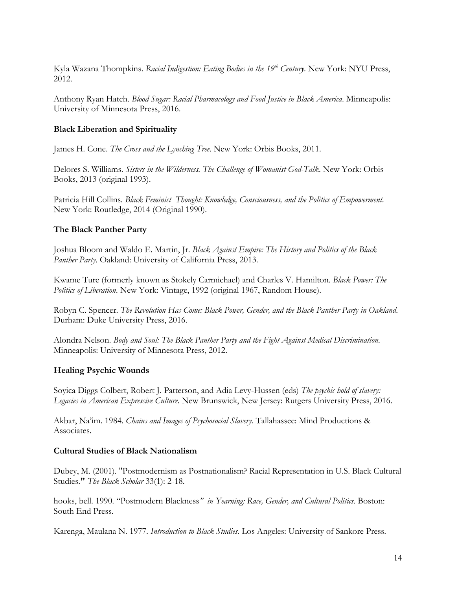Kyla Wazana Thompkins. *Racial Indigestion: Eating Bodies in the 19th Century*. New York: NYU Press, 2012.

Anthony Ryan Hatch. *Blood Sugar: Racial Pharmacology and Food Justice in Black America*. Minneapolis: University of Minnesota Press, 2016.

# **Black Liberation and Spirituality**

James H. Cone. *The Cross and the Lynching Tree*. New York: Orbis Books, 2011.

Delores S. Williams. *Sisters in the Wilderness. The Challenge of Womanist God-Talk*. New York: Orbis Books, 2013 (original 1993).

Patricia Hill Collins. *Black Feminist Thought: Knowledge, Consciousness, and the Politics of Empowerment*. New York: Routledge, 2014 (Original 1990).

# **The Black Panther Party**

Joshua Bloom and Waldo E. Martin, Jr. *Black Against Empire: The History and Politics of the Black Panther Party*. Oakland: University of California Press, 2013.

Kwame Ture (formerly known as Stokely Carmichael) and Charles V. Hamilton. *Black Power: The Politics of Liberation*. New York: Vintage, 1992 (original 1967, Random House).

Robyn C. Spencer. *The Revolution Has Come: Black Power, Gender, and the Black Panther Party in Oakland*. Durham: Duke University Press, 2016.

Alondra Nelson. *Body and Soul: The Black Panther Party and the Fight Against Medical Discrimination.*  Minneapolis: University of Minnesota Press, 2012.

## **Healing Psychic Wounds**

Soyica Diggs Colbert, Robert J. Patterson, and Adia Levy-Hussen (eds) *The psychic hold of slavery: Legacies in American Expressive Culture*. New Brunswick, New Jersey: Rutgers University Press, 2016.

Akbar, Na'im. 1984. *Chains and Images of Psychosocial Slavery.* Tallahassee: Mind Productions & Associates.

## **Cultural Studies of Black Nationalism**

Dubey, M. (2001). "Postmodernism as Postnationalism? Racial Representation in U.S. Black Cultural Studies.**"** *The Black Scholar* 33(1): 2-18.

hooks, bell. 1990. "Postmodern Blackness*" in Yearning: Race, Gender, and Cultural Politics.* Boston: South End Press.

Karenga, Maulana N. 1977. *Introduction to Black Studies.* Los Angeles: University of Sankore Press.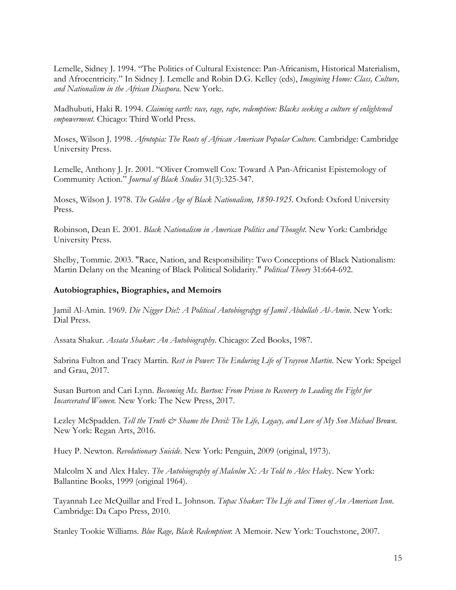Lemelle, Sidney J. 1994. "The Politics of Cultural Existence: Pan-Africanism, Historical Materialism, and Afrocentricity." In Sidney J. Lemelle and Robin D.G. Kelley (eds), *Imagining Home: Class, Culture, and Nationalism in the African Diaspora*. New York:.

Madhubuti, Haki R. 1994. *Claiming earth: race, rage, rape, redemption: Blacks seeking a culture of enlightened empowerment.* Chicago: Third World Press.

Moses, Wilson J. 1998. *Afrotopia: The Roots of African American Popular Culture.* Cambridge: Cambridge University Press.

Lemelle, Anthony J. Jr. 2001. "Oliver Cromwell Cox: Toward A Pan-Africanist Epistemology of Community Action." *Journal of Black Studies* 31(3):325-347.

Moses, Wilson J. 1978. *The Golden Age of Black Nationalism, 1850-1925.* Oxford: Oxford University Press.

Robinson, Dean E. 2001*. Black Nationalism in American Politics and Thought*. New York: Cambridge University Press.

Shelby, Tommie. 2003. "Race, Nation, and Responsibility: Two Conceptions of Black Nationalism: Martin Delany on the Meaning of Black Political Solidarity." *Political Theory* 31:664-692.

#### **Autobiographies, Biographies, and Memoirs**

Jamil Al-Amin. 1969. *Die Nigger Die!: A Political Autobiograpgy of Jamil Abdullah Al-Amin*. New York: Dial Press.

Assata Shakur. *Assata Shakur: An Autobiography*. Chicago: Zed Books, 1987.

Sabrina Fulton and Tracy Martin. *Rest in Power: The Enduring Life of Trayvon Martin*. New York: Speigel and Grau, 2017.

Susan Burton and Cari Lynn. *Becoming Ms. Burton: From Prison to Recovery to Leading the Fight for Incarcerated Women.* New York: The New Press, 2017.

Lezley McSpadden. *Tell the Truth & Shame the Devil: The Life, Legacy, and Love of My Son Michael Brown*. New York: Regan Arts, 2016.

Huey P. Newton. *Revolutionary Suicide*. New York: Penguin, 2009 (original, 1973).

Malcolm X and Alex Haley. *The Autobiography of Malcolm X: As Told to Alex Hal*ey. New York: Ballantine Books, 1999 (original 1964).

Tayannah Lee McQuillar and Fred L. Johnson. *Tupac Shakur: The Life and Times of An American Icon*. Cambridge: Da Capo Press, 2010.

Stanley Tookie Williams. *Blue Rage, Black Redemption*: A Memoir. New York: Touchstone, 2007.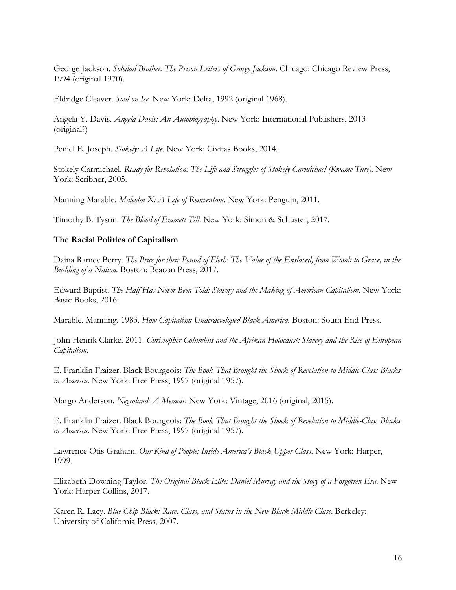George Jackson. *Soledad Brother: The Prison Letters of George Jackson*. Chicago: Chicago Review Press, 1994 (original 1970).

Eldridge Cleaver. *Soul on Ice.* New York: Delta, 1992 (original 1968).

Angela Y. Davis. *Angela Davis: An Autobiography*. New York: International Publishers, 2013 (original?)

Peniel E. Joseph. *Stokely: A Life*. New York: Civitas Books, 2014.

Stokely Carmichael. *Ready for Revolution: The Life and Struggles of Stokely Carmichael (Kwame Ture)*. New York: Scribner, 2005.

Manning Marable. *Malcolm X: A Life of Reinvention*. New York: Penguin, 2011.

Timothy B. Tyson. *The Blood of Emmett Till*. New York: Simon & Schuster, 2017.

## **The Racial Politics of Capitalism**

Daina Ramey Berry. *The Price for their Pound of Flesh: The Value of the Enslaved, from Womb to Grave, in the Building of a Nation.* Boston: Beacon Press, 2017.

Edward Baptist. *The Half Has Never Been Told: Slavery and the Making of American Capitalism*. New York: Basic Books, 2016.

Marable, Manning. 1983. *How Capitalism Underdeveloped Black America.* Boston: South End Press*.*

John Henrik Clarke. 2011. *Christopher Columbus and the Afrikan Holocaust: Slavery and the Rise of European Capitalism*.

E. Franklin Fraizer. Black Bourgeois: *The Book That Brought the Shock of Revelation to Middle-Class Blacks in America*. New York: Free Press, 1997 (original 1957).

Margo Anderson. *Negroland: A Memoir*. New York: Vintage, 2016 (original, 2015).

E. Franklin Fraizer. Black Bourgeois: *The Book That Brought the Shock of Revelation to Middle-Class Blacks in America*. New York: Free Press, 1997 (original 1957).

Lawrence Otis Graham. *Our Kind of People: Inside America's Black Upper Class*. New York: Harper, 1999.

Elizabeth Downing Taylor. *The Original Black Elite: Daniel Murray and the Story of a Forgotten Era*. New York: Harper Collins, 2017.

Karen R. Lacy. *Blue Chip Black: Race, Class, and Status in the New Black Middle Class*. Berkeley: University of California Press, 2007.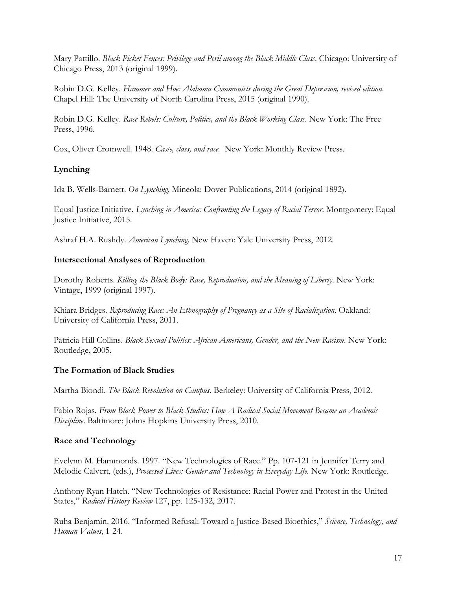Mary Pattillo. *Black Picket Fences: Privilege and Peril among the Black Middle Class*. Chicago: University of Chicago Press, 2013 (original 1999).

Robin D.G. Kelley. *Hammer and Hoe: Alabama Communists during the Great Depression, revised edition*. Chapel Hill: The University of North Carolina Press, 2015 (original 1990).

Robin D.G. Kelley. *Race Rebels: Culture, Politics, and the Black Working Class*. New York: The Free Press, 1996.

Cox, Oliver Cromwell. 1948. *Caste, class, and race.* New York: Monthly Review Press.

# **Lynching**

Ida B. Wells-Barnett. *On Lynching*. Mineola: Dover Publications, 2014 (original 1892).

Equal Justice Initiative. *Lynching in America: Confronting the Legacy of Racial Terror*. Montgomery: Equal Justice Initiative, 2015.

Ashraf H.A. Rushdy. *American Lynching*. New Haven: Yale University Press, 2012.

## **Intersectional Analyses of Reproduction**

Dorothy Roberts. *Killing the Black Body: Race, Reproduction, and the Meaning of Liberty*. New York: Vintage, 1999 (original 1997).

Khiara Bridges. *Reproducing Race: An Ethnography of Pregnancy as a Site of Racialization*. Oakland: University of California Press, 2011.

Patricia Hill Collins. *Black Sexual Politics: African Americans, Gender, and the New Racism*. New York: Routledge, 2005.

## **The Formation of Black Studies**

Martha Biondi. *The Black Revolution on Campus*. Berkeley: University of California Press, 2012.

Fabio Rojas. *From Black Power to Black Studies: How A Radical Social Movement Became an Academic Discipline*. Baltimore: Johns Hopkins University Press, 2010.

## **Race and Technology**

Evelynn M. Hammonds. 1997. "New Technologies of Race." Pp. 107-121 in Jennifer Terry and Melodie Calvert, (eds.), *Processed Lives: Gender and Technology in Everyday Life*. New York: Routledge.

Anthony Ryan Hatch. "New Technologies of Resistance: Racial Power and Protest in the United States," *Radical History Review* 127, pp. 125-132, 2017.

Ruha Benjamin. 2016. "Informed Refusal: Toward a Justice-Based Bioethics," *Science, Technology, and Human Values*, 1-24.